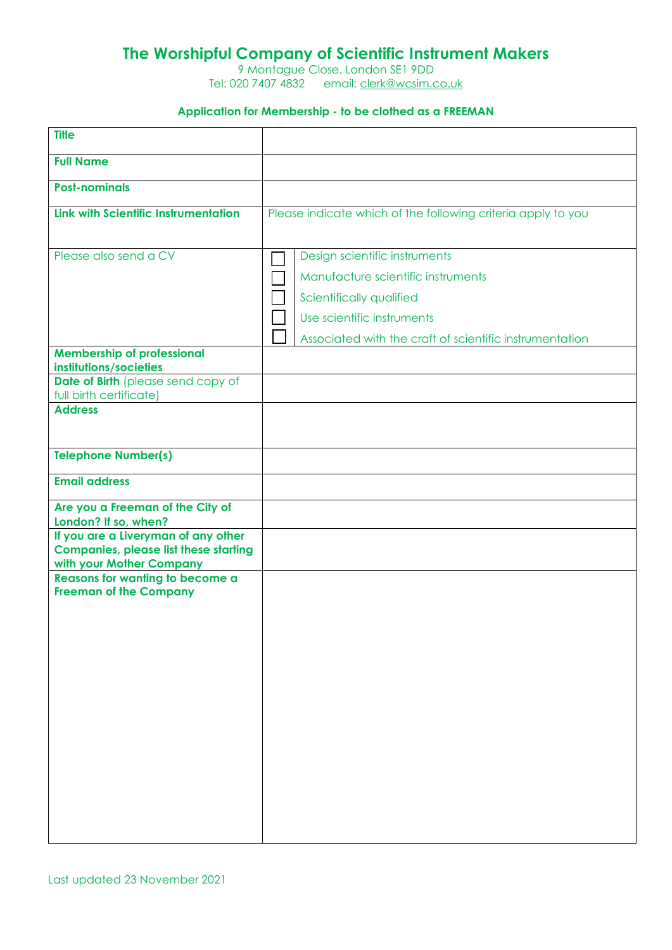## **The Worshipful Company of Scientific Instrument Makers**

9 Montague Close, London SE1 9DD Tel: 020 7407 4832 email: [clerk@wcsim.co.uk](mailto:clerk@wcsim.co.uk)

## **Application for Membership - to be clothed as a FREEMAN**

| <b>Title</b>                                                                                                    |                                                                                                                                                                                          |
|-----------------------------------------------------------------------------------------------------------------|------------------------------------------------------------------------------------------------------------------------------------------------------------------------------------------|
| <b>Full Name</b>                                                                                                |                                                                                                                                                                                          |
| <b>Post-nominals</b>                                                                                            |                                                                                                                                                                                          |
| <b>Link with Scientific Instrumentation</b>                                                                     | Please indicate which of the following criteria apply to you                                                                                                                             |
| Please also send a CV                                                                                           | Design scientific instruments<br>Manufacture scientific instruments<br>Scientifically qualified<br>Use scientific instruments<br>Associated with the craft of scientific instrumentation |
| <b>Membership of professional</b><br>institutions/societies                                                     |                                                                                                                                                                                          |
| Date of Birth (please send copy of<br>full birth certificate)<br><b>Address</b>                                 |                                                                                                                                                                                          |
| <b>Telephone Number(s)</b>                                                                                      |                                                                                                                                                                                          |
| <b>Email address</b>                                                                                            |                                                                                                                                                                                          |
| Are you a Freeman of the City of<br>London? If so, when?                                                        |                                                                                                                                                                                          |
| If you are a Liveryman of any other<br><b>Companies, please list these starting</b><br>with your Mother Company |                                                                                                                                                                                          |
| <b>Reasons for wanting to become a</b><br><b>Freeman of the Company</b>                                         |                                                                                                                                                                                          |